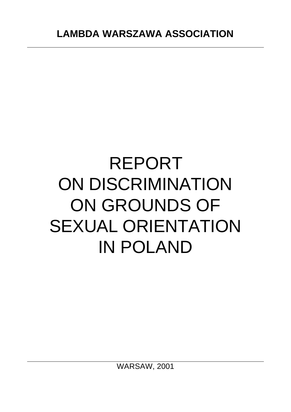# REPORT ON DISCRIMINATION ON GROUNDS OF SEXUAL ORIENTATION IN POLAND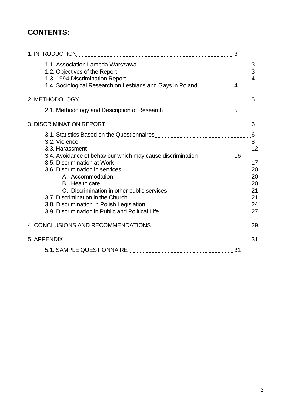# **CONTENTS:**

| 1.4. Sociological Research on Lesbians and Gays in Poland 4  |  |
|--------------------------------------------------------------|--|
|                                                              |  |
|                                                              |  |
|                                                              |  |
|                                                              |  |
| 3.4. Avoidance of behaviour which may cause discrimination16 |  |
|                                                              |  |
|                                                              |  |
|                                                              |  |
|                                                              |  |
|                                                              |  |
|                                                              |  |
|                                                              |  |
|                                                              |  |
|                                                              |  |
|                                                              |  |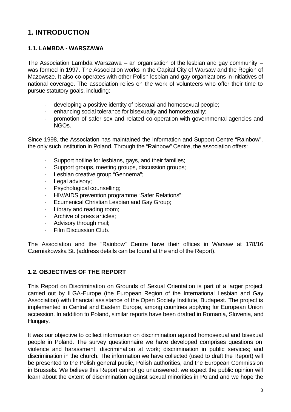# **1. INTRODUCTION**

# **1.1. LAMBDA - WARSZAWA**

The Association Lambda Warszawa – an organisation of the lesbian and gay community – was formed in 1997. The Association works in the Capital City of Warsaw and the Region of Mazowsze. It also co-operates with other Polish lesbian and gay organizations in initiatives of national coverage. The association relies on the work of volunteers who offer their time to pursue statutory goals, including:

- · developing a positive identity of bisexual and homosexual people;
- enhancing social tolerance for bisexuality and homosexuality;
- · promotion of safer sex and related co-operation with governmental agencies and NGOs.

Since 1998, the Association has maintained the Information and Support Centre "Rainbow", the only such institution in Poland. Through the "Rainbow" Centre, the association offers:

- · Support hotline for lesbians, gays, and their families;
- · Support groups, meeting groups, discussion groups;
- Lesbian creative group "Gennema";
- Legal advisory;
- Psychological counselling;
- · HIV/AIDS prevention programme "Safer Relations";
- Ecumenical Christian Lesbian and Gay Group;
- · Library and reading room;
- · Archive of press articles;
- · Advisory through mail;
- Film Discussion Club.

The Association and the "Rainbow" Centre have their offices in Warsaw at 178/16 Czerniakowska St. (address details can be found at the end of the Report).

# **1.2. OBJECTIVES OF THE REPORT**

This Report on Discrimination on Grounds of Sexual Orientation is part of a larger project carried out by ILGA-Europe (the European Region of the International Lesbian and Gay Association) with financial assistance of the Open Society Institute, Budapest. The project is implemented in Central and Eastern Europe, among countries applying for European Union accession. In addition to Poland, similar reports have been drafted in Romania, Slovenia, and Hungary.

It was our objective to collect information on discrimination against homosexual and bisexual people in Poland. The survey questionnaire we have developed comprises questions on violence and harassment; discrimination at work; discrimination in public services; and discrimination in the church. The information we have collected (used to draft the Report) will be presented to the Polish general public, Polish authorities, and the European Commission in Brussels. We believe this Report cannot go unanswered: we expect the public opinion will learn about the extent of discrimination against sexual minorities in Poland and we hope the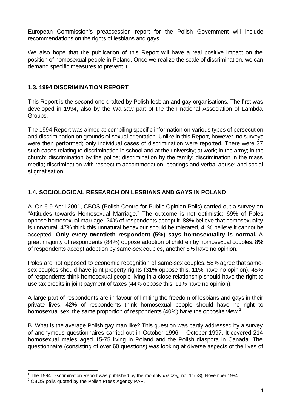European Commission's preaccession report for the Polish Government will include recommendations on the rights of lesbians and gays.

We also hope that the publication of this Report will have a real positive impact on the position of homosexual people in Poland. Once we realize the scale of discrimination, we can demand specific measures to prevent it.

# **1.3. 1994 DISCRIMINATION REPORT**

This Report is the second one drafted by Polish lesbian and gay organisations. The first was developed in 1994, also by the Warsaw part of the then national Association of Lambda Groups.

The 1994 Report was aimed at compiling specific information on various types of persecution and discrimination on grounds of sexual orientation. Unlike in this Report, however, no surveys were then performed; only individual cases of discrimination were reported. There were 37 such cases relating to discrimination in school and at the university; at work; in the army; in the church; discrimination by the police; discrimination by the family; discrimination in the mass media; discrimination with respect to accommodation; beatings and verbal abuse; and social stigmatisation.<sup>1</sup>

# **1.4. SOCIOLOGICAL RESEARCH ON LESBIANS AND GAYS IN POLAND**

A. On 6-9 April 2001, CBOS (Polish Centre for Public Opinion Polls) carried out a survey on "Attitudes towards Homosexual Marriage." The outcome is not optimistic: 69% of Poles oppose homosexual marriage, 24% of respondents accept it. 88% believe that homosexuality is unnatural, 47% think this unnatural behaviour should be tolerated, 41% believe it cannot be accepted. **Only every twentieth respondent (5%) says homosexuality is normal.** A great majority of respondents (84%) oppose adoption of children by homosexual couples. 8% of respondents accept adoption by same-sex couples, another 8% have no opinion.

Poles are not opposed to economic recognition of same-sex couples. 58% agree that samesex couples should have joint property rights (31% oppose this, 11% have no opinion). 45% of respondents think homosexual people living in a close relationship should have the right to use tax credits in joint payment of taxes (44% oppose this, 11% have no opinion).

A large part of respondents are in favour of limiting the freedom of lesbians and gays in their private lives. 42% of respondents think homosexual people should have no right to homosexual sex, the same proportion of respondents (40%) have the opposite view.<sup>2</sup>

B. What is the average Polish gay man like? This question was partly addressed by a survey of anonymous questionnaires carried out in October 1996 – October 1997. It covered 214 homosexual males aged 15-75 living in Poland and the Polish diaspora in Canada. The questionnaire (consisting of over 60 questions) was looking at diverse aspects of the lives of

 1 The 1994 Discrimination Report was published by the monthly *Inaczej,* no. 11(53), November 1994.

 $2$  CBOS polls quoted by the Polish Press Agency PAP.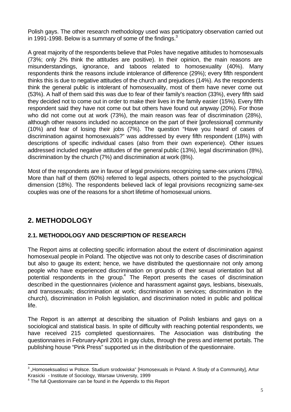Polish gays. The other research methodology used was participatory observation carried out in 1991-1998. Below is a summary of some of the findings.<sup>3</sup>

A great majority of the respondents believe that Poles have negative attitudes to homosexuals (73%; only 2% think the attitudes are positive). In their opinion, the main reasons are misunderstandings, ignorance, and taboos related to homosexuality (40%). Many respondents think the reasons include intolerance of difference (29%); every fifth respondent thinks this is due to negative attitudes of the church and prejudices (14%). As the respondents think the general public is intolerant of homosexuality, most of them have never come out (53%). A half of them said this was due to fear of their family's reaction (33%), every fifth said they decided not to come out in order to make their lives in the family easier (15%). Every fifth respondent said they have not come out but others have found out anyway (20%). For those who did not come out at work (73%), the main reason was fear of discrimination (28%), although other reasons included no acceptance on the part of their [professional] community (10%) and fear of losing their jobs (7%). The question "Have you heard of cases of discrimination against homosexuals?" was addressed by every fifth respondent (18%) with descriptions of specific individual cases (also from their own experience). Other issues addressed included negative attitudes of the general public (13%), legal discrimination (8%), discrimination by the church (7%) and discrimination at work (8%).

Most of the respondents are in favour of legal provisions recognizing same-sex unions (78%). More than half of them (60%) referred to legal aspects, others pointed to the psychological dimension (18%). The respondents believed lack of legal provisions recognizing same-sex couples was one of the reasons for a short lifetime of homosexual unions.

# **2. METHODOLOGY**

l

# **2.1. METHODOLOGY AND DESCRIPTION OF RESEARCH**

The Report aims at collecting specific information about the extent of discrimination against homosexual people in Poland. The objective was not only to describe cases of discrimination but also to gauge its extent; hence, we have distributed the questionnaire not only among people who have experienced discrimination on grounds of their sexual orientation but all potential respondents in the group.<sup>4</sup> The Report presents the cases of discrimination described in the questionnaires (violence and harassment against gays, lesbians, bisexuals, and transsexuals; discrimination at work; discrimination in services; discrimination in the church), discrimination in Polish legislation, and discrimination noted in public and political life.

The Report is an attempt at describing the situation of Polish lesbians and gays on a sociological and statistical basis. In spite of difficulty with reaching potential respondents, we have received 215 completed questionnaires. The Association was distributing the questionnaires in February-April 2001 in gay clubs, through the press and internet portals. The publishing house "Pink Press" supported us in the distribution of the questionnaire.

 $3$  "Homoseksualisci w Polsce. Studium srodowiska" [Homosexuals in Poland. A Study of a Community], Artur Krasicki - Institute of Sociology, Warsaw University, 1999

<sup>&</sup>lt;sup>4</sup> The full Questionnaire can be found in the Appendix to this Report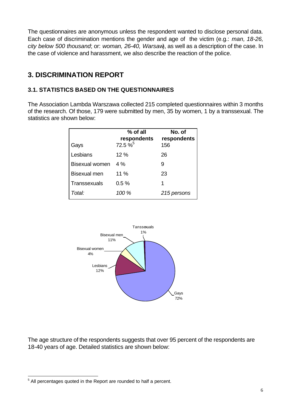The questionnaires are anonymous unless the respondent wanted to disclose personal data. Each case of discrimination mentions the gender and age of the victim (e.g.: *man, 18-26, city below 500 thousand*; or: *woman, 26-40, Warsaw*), as well as a description of the case. In the case of violence and harassment, we also describe the reaction of the police.

# **3. DISCRIMINATION REPORT**

# **3.1. STATISTICS BASED ON THE QUESTIONNAIRES**

The Association Lambda Warszawa collected 215 completed questionnaires within 3 months of the research. Of those, 179 were submitted by men, 35 by women, 1 by a transsexual. The statistics are shown below:

|                       | % of all<br>respondents | No. of<br>respondents |
|-----------------------|-------------------------|-----------------------|
| Gays                  | 72.5 % <sup>5</sup>     | 156                   |
| Lesbians              | 12 %                    | 26                    |
| <b>Bisexual women</b> | 4%                      | 9                     |
| <b>Bisexual men</b>   | 11 %                    | 23                    |
| Transsexuals          | 0.5%                    | 1                     |
| Total:                | 100 %                   | 215 persons           |



The age structure of the respondents suggests that over 95 percent of the respondents are 18-40 years of age. Detailed statistics are shown below:

l

 $5$  All percentages quoted in the Report are rounded to half a percent.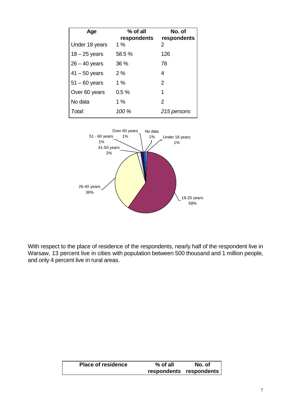| Age             | % of all<br>respondents | No. of<br>respondents |
|-----------------|-------------------------|-----------------------|
| Under 18 years  | 1 $%$                   | 2                     |
| $18 - 25$ years | 58.5%                   | 126                   |
| $26 - 40$ years | 36 %                    | 78                    |
| $41 - 50$ years | 2%                      | 4                     |
| $51 - 60$ years | $1\%$                   | 2                     |
| Over 60 years   | 0.5%                    | 1                     |
| No data         | 1%                      | 2                     |
| Total:          | 100 %                   | 215 persons           |



With respect to the place of residence of the respondents, nearly half of the respondent live in Warsaw, 13 percent live in cities with population between 500 thousand and 1 million people, and only 4 percent live in rural areas.

| <b>Place of residence</b> | $%$ of all              | No. of |
|---------------------------|-------------------------|--------|
|                           | respondents respondents |        |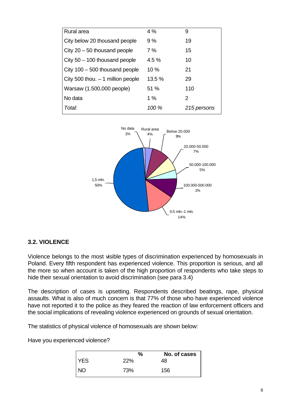| Rural area                         | 4%    | 9           |
|------------------------------------|-------|-------------|
| City below 20 thousand people      | 9%    | 19          |
| City $20 - 50$ thousand people     | 7 %   | 15          |
| City $50 - 100$ thousand people    | 4.5%  | 10          |
| City $100 - 500$ thousand people   | 10%   | 21          |
| City 500 thou. $-1$ million people | 13.5% | 29          |
| Warsaw (1.500,000 people)          | 51 %  | 110         |
| No data                            | 1%    | 2           |
| Total:                             | 100 % | 215 persons |



# **3.2. VIOLENCE**

Violence belongs to the most visible types of discrimination experienced by homosexuals in Poland. Every fifth respondent has experienced violence. This proportion is serious, and all the more so when account is taken of the high proportion of respondents who take steps to hide their sexual orientation to avoid discrimination (see para 3.4)

The description of cases is upsetting. Respondents described beatings, rape, physical assaults. What is also of much concern is that 77% of those who have experienced violence have not reported it to the police as they feared the reaction of law enforcement officers and the social implications of revealing violence experienced on grounds of sexual orientation.

The statistics of physical violence of homosexuals are shown below:

Have you experienced violence?

|             | %   | No. of cases |
|-------------|-----|--------------|
| <b>IYES</b> | 22% | 48           |
|             | 73% | 156          |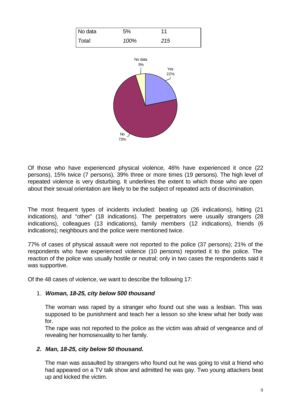| No data | 5%   | 44  |
|---------|------|-----|
| Total:  | 100% | 215 |



Of those who have experienced physical violence, 46% have experienced it once (22 persons), 15% twice (7 persons), 39% three or more times (19 persons). The high level of repeated violence is very disturbing. It underlines the extent to which those who are open about their sexual orientation are likely to be the subject of repeated acts of discrimination.

The most frequent types of incidents included: beating up (26 indications), hitting (21 indications), and "other" (18 indications). The perpetrators were usually strangers (28 indications), colleagues (13 indications), family members (12 indications), friends (6 indications); neighbours and the police were mentioned twice.

77% of cases of physical assault were not reported to the police (37 persons); 21% of the respondents who have experienced violence (10 persons) reported it to the police. The reaction of the police was usually hostile or neutral; only in two cases the respondents said it was supportive.

Of the 48 cases of violence, we want to describe the following 17:

#### 1. *Woman, 18-25, city below 500 thousand*

The woman was raped by a stranger who found out she was a lesbian. This was supposed to be punishment and teach her a lesson so she knew what her body was for.

The rape was not reported to the police as the victim was afraid of vengeance and of revealing her homosexuality to her family.

#### *2. Man, 18-25, city below 50 thousand.*

The man was assaulted by strangers who found out he was going to visit a friend who had appeared on a TV talk show and admitted he was gay. Two young attackers beat up and kicked the victim.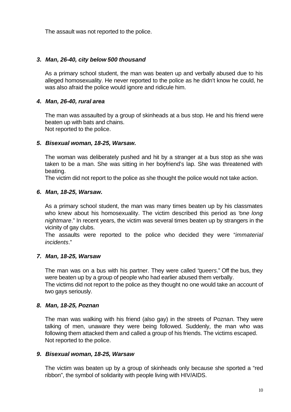The assault was not reported to the police.

## *3. Man, 26-40, city below 500 thousand*

As a primary school student, the man was beaten up and verbally abused due to his alleged homosexuality. He never reported to the police as he didn't know he could, he was also afraid the police would ignore and ridicule him.

## *4. Man, 26-40, rural area*

The man was assaulted by a group of skinheads at a bus stop. He and his friend were beaten up with bats and chains. Not reported to the police.

#### *5. Bisexual woman, 18-25, Warsaw.*

The woman was deliberately pushed and hit by a stranger at a bus stop as she was taken to be a man. She was sitting in her boyfriend's lap. She was threatened with beating.

The victim did not report to the police as she thought the police would not take action.

#### *6. Man, 18-25, Warsaw.*

As a primary school student, the man was many times beaten up by his classmates who knew about his homosexuality. The victim described this period as "*one long nightmare*." In recent years, the victim was several times beaten up by strangers in the vicinity of gay clubs.

The assaults were reported to the police who decided they were "*immaterial incidents*."

#### *7. Man, 18-25, Warsaw*

The man was on a bus with his partner. They were called "*queers*." Off the bus, they were beaten up by a group of people who had earlier abused them verbally. The victims did not report to the police as they thought no one would take an account of two gays seriously.

#### *8. Man, 18-25, Poznan*

The man was walking with his friend (also gay) in the streets of Poznan. They were talking of men, unaware they were being followed. Suddenly, the man who was following them attacked them and called a group of his friends. The victims escaped. Not reported to the police.

#### *9. Bisexual woman, 18-25, Warsaw*

The victim was beaten up by a group of skinheads only because she sported a "red ribbon", the symbol of solidarity with people living with HIV/AIDS.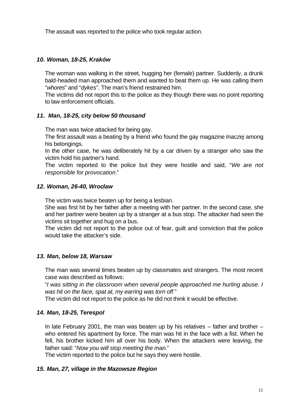The assault was reported to the police who took regular action.

# *10. Woman, 18-25, Kraków*

The woman was walking in the street, hugging her (female) partner. Suddenly, a drunk bald-headed man approached them and wanted to beat them up. He was calling them "*whores*" and "*dykes*". The man's friend restrained him.

The victims did not report this to the police as they though there was no point reporting to law enforcement officials.

# *11. Man, 18-25, city below 50 thousand*

The man was twice attacked for being gay.

The first assault was a beating by a friend who found the gay magazine *Inaczej* among his belongings.

In the other case, he was deliberately hit by a car driven by a stranger who saw the victim hold his partner's hand.

The victim reported to the police but they were hostile and said, "*We are not responsible for provocation.*"

# *12. Woman, 26-40, Wroclaw*

The victim was twice beaten up for being a lesbian.

She was first hit by her father after a meeting with her partner. In the second case, she and her partner were beaten up by a stranger at a bus stop. The attacker had seen the victims sit together and hug on a bus.

The victim did not report to the police out of fear, guilt and conviction that the police would take the attacker's side.

# *13. Man, below 18, Warsaw*

The man was several times beaten up by classmates and strangers. The most recent case was described as follows:

"*I was sitting in the classroom when several people approached me hurling abuse. I was hit on the face, spat at, my earring was torn off.*"

The victim did not report to the police as he did not think it would be effective.

# *14. Man, 18-25, Terespol*

In late February 2001, the man was beaten up by his relatives  $-$  father and brother  $$ who entered his apartment by force. The man was hit in the face with a fist. When he fell, his brother kicked him all over his body. When the attackers were leaving, the father said: "*Now you will stop meeting the man.*"

The victim reported to the police but he says they were hostile.

# *15. Man, 27, village in the Mazowsze Region*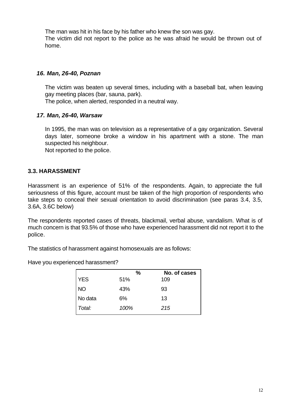The man was hit in his face by his father who knew the son was gay. The victim did not report to the police as he was afraid he would be thrown out of home.

#### *16. Man, 26-40, Poznan*

The victim was beaten up several times, including with a baseball bat, when leaving gay meeting places (bar, sauna, park).

The police, when alerted, responded in a neutral way.

#### *17. Man, 26-40, Warsaw*

In 1995, the man was on television as a representative of a gay organization. Several days later, someone broke a window in his apartment with a stone. The man suspected his neighbour.

Not reported to the police.

# **3.3. HARASSMENT**

Harassment is an experience of 51% of the respondents. Again, to appreciate the full seriousness of this figure, account must be taken of the high proportion of respondents who take steps to conceal their sexual orientation to avoid discrimination (see paras 3.4, 3.5, 3.6A, 3.6C below)

The respondents reported cases of threats, blackmail, verbal abuse, vandalism. What is of much concern is that 93.5% of those who have experienced harassment did not report it to the police.

The statistics of harassment against homosexuals are as follows:

Have you experienced harassment?

|            | $\%$ | No. of cases |
|------------|------|--------------|
| <b>YES</b> | 51%  | 109          |
| <b>NO</b>  | 43%  | 93           |
| No data    | 6%   | 13           |
| Total:     | 100% | 215          |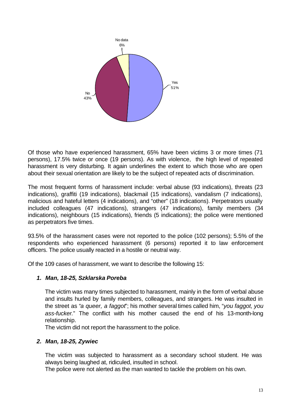

Of those who have experienced harassment, 65% have been victims 3 or more times (71 persons), 17.5% twice or once (19 persons). As with violence, the high level of repeated harassment is very disturbing. It again underlines the extent to which those who are open about their sexual orientation are likely to be the subject of repeated acts of discrimination.

The most frequent forms of harassment include: verbal abuse (93 indications), threats (23 indications), graffiti (19 indications), blackmail (15 indications), vandalism (7 indications), malicious and hateful letters (4 indications), and "other" (18 indications). Perpetrators usually included colleagues (47 indications), strangers (47 indications), family members (34 indications), neighbours (15 indications), friends (5 indications); the police were mentioned as perpetrators five times.

93.5% of the harassment cases were not reported to the police (102 persons); 5.5% of the respondents who experienced harassment (6 persons) reported it to law enforcement officers. The police usually reacted in a hostile or neutral way.

Of the 109 cases of harassment, we want to describe the following 15:

# *1. Man, 18-25, Szklarska Poreba*

The victim was many times subjected to harassment, mainly in the form of verbal abuse and insults hurled by family members, colleagues, and strangers. He was insulted in the street as "*a queer, a faggot*"; his mother several times called him, "*you faggot, you ass-fucker.*" The conflict with his mother caused the end of his 13-month-long relationship.

The victim did not report the harassment to the police.

# *2. Man, 18-25, Zywiec*

The victim was subjected to harassment as a secondary school student. He was always being laughed at, ridiculed, insulted in school.

The police were not alerted as the man wanted to tackle the problem on his own.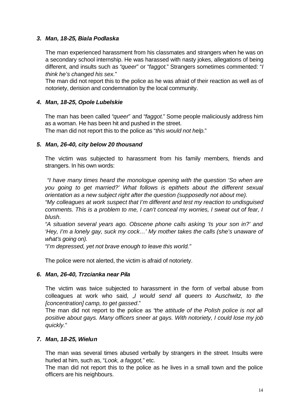## *3. Man, 18-25, Biala Podlaska*

The man experienced harassment from his classmates and strangers when he was on a secondary school internship. He was harassed with nasty jokes, allegations of being different, and insults such as "*queer*" or "*faggot*." Strangers sometimes commented: "*I think he's changed his sex.*"

The man did not report this to the police as he was afraid of their reaction as well as of notoriety, derision and condemnation by the local community.

## *4. Man, 18-25, Opole Lubelskie*

The man has been called "*queer*" and "*faggot*." Some people maliciously address him as a woman. He has been hit and pushed in the street. The man did not report this to the police as "*this would not help.*"

#### *5. Man, 26-40, city below 20 thousand*

The victim was subjected to harassment from his family members, friends and strangers. In his own words:

 *"I have many times heard the monologue opening with the question 'So when are you going to get married?' What follows is epithets about the different sexual orientation as a new subject right after the question (supposedly not about me).*

*"My colleagues at work suspect that I'm different and test my reaction to undisguised comments. This is a problem to me, I can't conceal my worries, I sweat out of fear, I blush.*

*"A situation several years ago. Obscene phone calls asking 'Is your son in?' and 'Hey, I'm a lonely gay, suck my cock…' My mother takes the calls (she's unaware of what's going on).*

*"I'm depressed, yet not brave enough to leave this world."*

The police were not alerted, the victim is afraid of notoriety.

#### *6. Man, 26-40, Trzcianka near Pila*

The victim was twice subjected to harassment in the form of verbal abuse from colleagues at work who said, "*I would send all queers to Auschwitz, to the [concentration] camp, to get gassed*."

The man did not report to the police as "*the attitude of the Polish police is not all positive about gays. Many officers sneer at gays. With notoriety, I could lose my job quickly.*"

#### *7. Man, 18-25, Wielun*

The man was several times abused verbally by strangers in the street. Insults were hurled at him, such as, "*Look, a faggot,*" etc.

The man did not report this to the police as he lives in a small town and the police officers are his neighbours.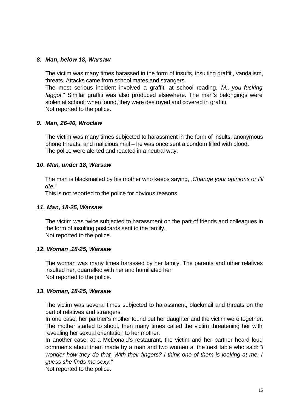#### *8. Man, below 18, Warsaw*

The victim was many times harassed in the form of insults, insulting graffiti, vandalism, threats. Attacks came from school mates and strangers.

The most serious incident involved a graffiti at school reading, "*M., you fucking faggot.*" Similar graffiti was also produced elsewhere. The man's belongings were stolen at school; when found, they were destroyed and covered in graffiti. Not reported to the police.

#### *9. Man, 26-40, Wroclaw*

The victim was many times subjected to harassment in the form of insults, anonymous phone threats, and malicious mail – he was once sent a condom filled with blood. The police were alerted and reacted in a neutral way.

#### *10. Man, under 18, Warsaw*

The man is blackmailed by his mother who keeps saying, *"Change your opinions or I'll die.*"

This is not reported to the police for obvious reasons.

#### *11. Man, 18-25, Warsaw*

The victim was twice subjected to harassment on the part of friends and colleagues in the form of insulting postcards sent to the family. Not reported to the police.

#### *12. Woman ,18-25, Warsaw*

The woman was many times harassed by her family. The parents and other relatives insulted her, quarrelled with her and humiliated her. Not reported to the police.

#### *13. Woman, 18-25, Warsaw*

The victim was several times subjected to harassment, blackmail and threats on the part of relatives and strangers.

In one case, her partner's mother found out her daughter and the victim were together. The mother started to shout, then many times called the victim threatening her with revealing her sexual orientation to her mother.

In another case, at a McDonald's restaurant, the victim and her partner heard loud comments about them made by a man and two women at the next table who said: "*I wonder how they do that. With their fingers? I think one of them is looking at me. I guess she finds me sexy.*"

Not reported to the police.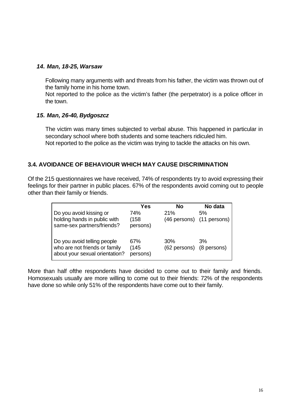## *14. Man, 18-25, Warsaw*

Following many arguments with and threats from his father, the victim was thrown out of the family home in his home town.

Not reported to the police as the victim's father (the perpetrator) is a police officer in the town.

#### *15. Man, 26-40, Bydgoszcz*

The victim was many times subjected to verbal abuse. This happened in particular in secondary school where both students and some teachers ridiculed him. Not reported to the police as the victim was trying to tackle the attacks on his own.

# **3.4. AVOIDANCE OF BEHAVIOUR WHICH MAY CAUSE DISCRIMINATION**

Of the 215 questionnaires we have received, 74% of respondents try to avoid expressing their feelings for their partner in public places. 67% of the respondents avoid coming out to people other than their family or friends.

| Do you avoid kissing or<br>holding hands in public with<br>same-sex partners/friends?          | Yes<br>74%<br>(158)<br>persons) | No<br>21%                       | No data<br>5%<br>(46 persons) (11 persons) |
|------------------------------------------------------------------------------------------------|---------------------------------|---------------------------------|--------------------------------------------|
| Do you avoid telling people<br>who are not friends or family<br>about your sexual orientation? | 67%<br>(145)<br>persons)        | 30%<br>(62 persons) (8 persons) | 3%                                         |

More than half ofthe respondents have decided to come out to their family and friends. Homosexuals usually are more willing to come out to their friends: 72% of the respondents have done so while only 51% of the respondents have come out to their family.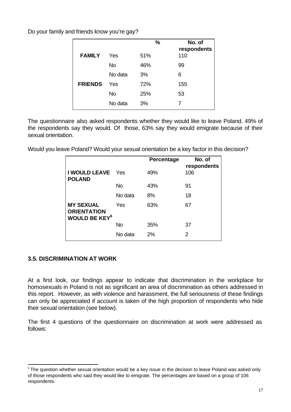Do your family and friends know you're gay?

|                |           | %   | No. of<br>respondents |
|----------------|-----------|-----|-----------------------|
| <b>FAMILY</b>  | Yes       | 51% | 110                   |
|                | <b>No</b> | 46% | 99                    |
|                | No data   | 3%  | 6                     |
| <b>FRIENDS</b> | Yes       | 72% | 155                   |
|                | <b>No</b> | 25% | 53                    |
|                | No data   | 3%  | 7                     |

The questionnaire also asked respondents whether they would like to leave Poland. 49% of the respondents say they would. Of those, 63% say they would emigrate because of their sexual orientation.

Would you leave Poland? Would your sexual orientation be a key factor in this decision?

|                                                                           |           | Percentage | No. of<br>respondents |
|---------------------------------------------------------------------------|-----------|------------|-----------------------|
| I WOULD LEAVE<br><b>POLAND</b>                                            | - Yes     | 49%        | 106                   |
|                                                                           | <b>No</b> | 43%        | 91                    |
|                                                                           | No data   | 8%         | 18                    |
| <b>MY SEXUAL</b><br><b>ORIENTATION</b><br><b>WOULD BE KEY<sup>6</sup></b> | Yes       | 63%        | 67                    |
|                                                                           | <b>No</b> | 35%        | 37                    |
|                                                                           | No data   | 2%         | 2                     |

# **3.5. DISCRIMINATION AT WORK**

l

At a first look, our findings appear to indicate that discrimination in the workplace for homosexuals in Poland is not as significant an area of discrimination as others addressed in this report. However, as with violence and harassment, the full seriousness of these findings can only be appreciated if account is taken of the high proportion of respondents who hide their sexual orientation (see below).

The first 4 questions of the questionnaire on discrimination at work were addressed as follows:

 $6$ The question whether sexual orientation would be a key issue in the decision to leave Poland was asked only of those respondents who said they would like to emigrate. The percentages are based on a group of 106 respondents.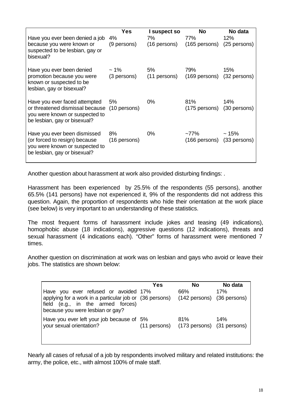|                                                                                                                                                 | <b>Yes</b>                      | I suspect so       | <b>No</b>                                             | No data |
|-------------------------------------------------------------------------------------------------------------------------------------------------|---------------------------------|--------------------|-------------------------------------------------------|---------|
| Have you ever been denied a job<br>because you were known or<br>suspected to be lesbian, gay or<br>bisexual?                                    | 4%<br>(9 persons)               | 7%<br>(16 persons) | 77%<br>$(165 \text{ persons})$ $(25 \text{ persons})$ | 12%     |
| Have you ever been denied<br>promotion because you were<br>known or suspected to be<br>lesbian, gay or bisexual?                                | $\sim$ 1% $\sim$<br>(3 persons) | 5%<br>(11 persons) | 79%<br>(169 persons) (32 persons)                     | 15%     |
| Have you ever faced attempted<br>or threatened dismissal because (10 persons)<br>you were known or suspected to<br>be lesbian, gay or bisexual? | 5%                              | $0\%$              | 81%<br>(175 persons) (30 persons)                     | 14%     |
| Have you ever been dismissed<br>(or forced to resign) because<br>you were known or suspected to<br>be lesbian, gay or bisexual?                 | 8%<br>(16 persons)              | $0\%$              | ~77%<br>(166 persons) (33 persons)                    | ~15%    |

Another question about harassment at work also provided disturbing findings: .

Harassment has been experienced by 25.5% of the respondents (55 persons), another 65.5% (141 persons) have not experienced it, 9% of the respondents did not address this question. Again, the proportion of respondents who hide their orientation at the work place (see below) is very important to an understanding of these statistics.

The most frequent forms of harassment include jokes and teasing (49 indications), homophobic abuse (18 indications), aggressive questions (12 indications), threats and sexual harassment (4 indications each). "Other" forms of harassment were mentioned 7 times.

Another question on discrimination at work was on lesbian and gays who avoid or leave their jobs. The statistics are shown below:

| Have you ever refused or avoided 17%<br>applying for a work in a particular job or (36 persons)<br>field (e.g., in the armed forces)<br>because you were lesbian or gay? | Yes | <b>No</b><br>66%<br>(142 persons) (36 persons) | No data<br>17% |
|--------------------------------------------------------------------------------------------------------------------------------------------------------------------------|-----|------------------------------------------------|----------------|
| Have you ever left your job because of 5%<br>your sexual orientation?                                                                                                    |     | 81%<br>(11 persons) (173 persons) (31 persons) | 14%            |

Nearly all cases of refusal of a job by respondents involved military and related institutions: the army, the police, etc., with almost 100% of male staff.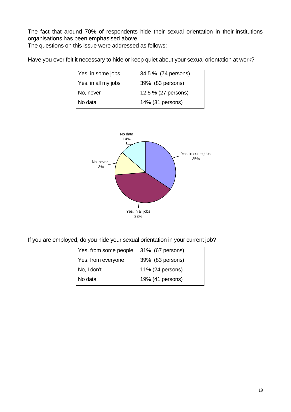The fact that around 70% of respondents hide their sexual orientation in their institutions organisations has been emphasised above.

The questions on this issue were addressed as follows:

Have you ever felt it necessary to hide or keep quiet about your sexual orientation at work?

| Yes, in some jobs   | 34.5 % (74 persons) |
|---------------------|---------------------|
| Yes, in all my jobs | 39% (83 persons)    |
| No, never           | 12.5 % (27 persons) |
| No data             | 14% (31 persons)    |
|                     |                     |



If you are employed, do you hide your sexual orientation in your current job?

| Yes, from some people | 31% (67 persons) |
|-----------------------|------------------|
| Yes, from everyone    | 39% (83 persons) |
| No, I don't           | 11% (24 persons) |
| No data               | 19% (41 persons) |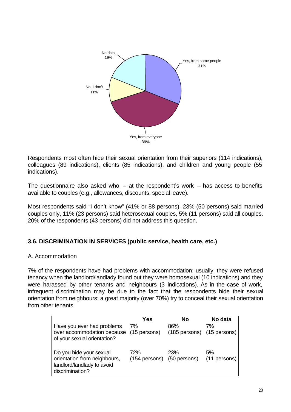

Respondents most often hide their sexual orientation from their superiors (114 indications), colleagues (89 indications), clients (85 indications), and children and young people (55 indications).

The questionnaire also asked who  $-$  at the respondent's work  $-$  has access to benefits available to couples (e.g., allowances, discounts, special leave).

Most respondents said "I don't know" (41% or 88 persons). 23% (50 persons) said married couples only, 11% (23 persons) said heterosexual couples, 5% (11 persons) said all couples. 20% of the respondents (43 persons) did not address this question.

# **3.6. DISCRIMINATION IN SERVICES (public service, health care, etc.)**

# A. Accommodation

7% of the respondents have had problems with accommodation; usually, they were refused tenancy when the landlord/landlady found out they were homosexual (10 indications) and they were harassed by other tenants and neighbours (3 indications). As in the case of work, infrequent discrimination may be due to the fact that the respondents hide their sexual orientation from neighbours: a great majority (over 70%) try to conceal their sexual orientation from other tenants.

|                                                                                                          | Yes | <b>No</b>                         | No data              |
|----------------------------------------------------------------------------------------------------------|-----|-----------------------------------|----------------------|
| Have you ever had problems<br>over accommodation because (15 persons)<br>of your sexual orientation?     | 7%  | 86%<br>(185 persons) (15 persons) | 7%                   |
| Do you hide your sexual<br>orientation from neighbours,<br>landlord/landlady to avoid<br>discrimination? | 72% | 23%<br>(154 persons) (50 persons) | 5%<br>$(11$ persons) |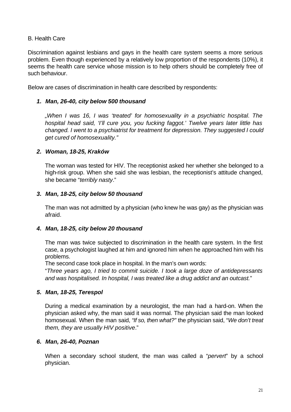## B. Health Care

Discrimination against lesbians and gays in the health care system seems a more serious problem. Even though experienced by a relatively low proportion of the respondents (10%), it seems the health care service whose mission is to help others should be completely free of such behaviour.

Below are cases of discrimination in health care described by respondents:

#### *1. Man, 26-40, city below 500 thousand*

*"When I was 16, I was 'treated' for homosexuality in a psychiatric hospital. The hospital head said, 'I'll cure you, you fucking faggot.' Twelve years later little has changed. I went to a psychiatrist for treatment for depression. They suggested I could get cured of homosexuality."*

#### *2. Woman, 18-25, Kraków*

The woman was tested for HIV. The receptionist asked her whether she belonged to a high-risk group. When she said she was lesbian, the receptionist's attitude changed, she became "*terribly nasty*."

#### *3. Man, 18-25, city below 50 thousand*

The man was not admitted by a physician (who knew he was gay) as the physician was afraid.

#### *4. Man, 18-25, city below 20 thousand*

The man was twice subjected to discrimination in the health care system. In the first case, a psychologist laughed at him and ignored him when he approached him with his problems.

The second case took place in hospital. In the man's own words:

"*Three years ago, I tried to commit suicide. I took a large doze of antidepressants and was hospitalised. In hospital, I was treated like a drug addict and an outcast.*"

#### *5. Man, 18-25, Terespol*

During a medical examination by a neurologist, the man had a hard-on. When the physician asked why, the man said it was normal. The physician said the man looked homosexual. When the man said, "*If so, then what?*" the physician said, "*We don't treat them, they are usually HIV positive*."

#### *6. Man, 26-40, Poznan*

When a secondary school student, the man was called a "*pervert*" by a school physician.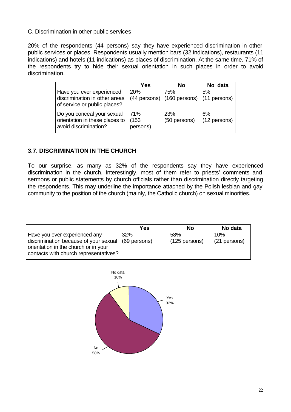# C. Discrimination in other public services

20% of the respondents (44 persons) say they have experienced discrimination in other public services or places. Respondents usually mention bars (32 indications), restaurants (11 indications) and hotels (11 indications) as places of discrimination. At the same time, 71% of the respondents try to hide their sexual orientation in such places in order to avoid discrimination.

|                                                                                            | Yes                      | No                                             | No data            |
|--------------------------------------------------------------------------------------------|--------------------------|------------------------------------------------|--------------------|
| Have you ever experienced<br>discrimination in other areas<br>of service or public places? | <b>20%</b>               | 75%<br>(44 persons) (160 persons) (11 persons) | 5%                 |
| Do you conceal your sexual<br>orientation in these places to<br>avoid discrimination?      | 71%<br>(153)<br>persons) | <b>23%</b><br>(50 persons)                     | 6%<br>(12 persons) |

# **3.7. DISCRIMINATION IN THE CHURCH**

To our surprise, as many as 32% of the respondents say they have experienced discrimination in the church. Interestingly, most of them refer to priests' comments and sermons or public statements by church officials rather than discrimination directly targeting the respondents. This may underline the importance attached by the Polish lesbian and gay community to the position of the church (mainly, the Catholic church) on sexual minorities.

|                                                                                                                                                         | Yes                        | No                     | No data             |
|---------------------------------------------------------------------------------------------------------------------------------------------------------|----------------------------|------------------------|---------------------|
| Have you ever experienced any<br>discrimination because of your sexual<br>orientation in the church or in your<br>contacts with church representatives? | <b>32%</b><br>(69 persons) | 58%<br>$(125$ persons) | 10%<br>(21 persons) |

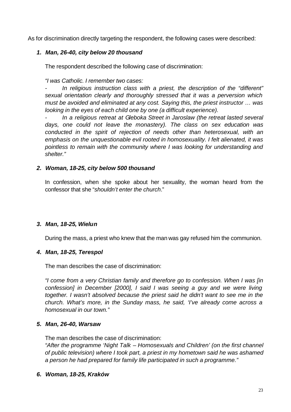As for discrimination directly targeting the respondent, the following cases were described:

## *1. Man, 26-40, city below 20 thousand*

The respondent described the following case of discrimination:

*"I was Catholic. I remember two cases:*

*- In religious instruction class with a priest, the description of the "different" sexual orientation clearly and thoroughly stressed that it was a perversion which must be avoided and eliminated at any cost. Saying this, the priest instructor … was looking in the eyes of each child one by one (a difficult experience).*

*- In a religious retreat at Gleboka Street in Jaroslaw (the retreat lasted several days, one could not leave the monastery). The class on sex education was conducted in the spirit of rejection of needs other than heterosexual, with an emphasis on the unquestionable evil rooted in homosexuality. I felt alienated, it was pointless to remain with the community where I was looking for understanding and shelter."*

#### *2. Woman, 18-25, city below 500 thousand*

In confession, when she spoke about her sexuality, the woman heard from the confessor that she "*shouldn't enter the church*."

# *3. Man, 18-25, Wielun*

During the mass, a priest who knew that the man was gay refused him the communion.

# *4. Man, 18-25, Terespol*

The man describes the case of discrimination:

*"I come from a very Christian family and therefore go to confession. When I was [in confession] in December [2000], I said I was seeing a guy and we were living together. I wasn't absolved because the priest said he didn't want to see me in the church. What's more, in the Sunday mass, he said, 'I've already come across a homosexual in our town."*

# *5. Man, 26-40, Warsaw*

The man describes the case of discrimination:

*"After the programme 'Night Talk – Homosexuals and Children' (on the first channel of public television) where I took part, a priest in my hometown said he was ashamed a person he had prepared for family life participated in such a programme."*

# *6. Woman, 18-25, Kraków*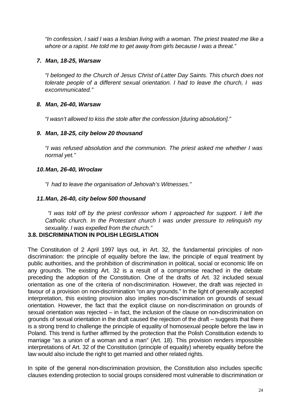*"In confession, I said I was a lesbian living with a woman. The priest treated me like a whore or a rapist. He told me to get away from girls because I was a threat."*

## *7. Man, 18-25, Warsaw*

*"I belonged to the Church of Jesus Christ of Latter Day Saints. This church does not tolerate people of a different sexual orientation. I had to leave the church, I was excommunicated."*

#### *8. Man, 26-40, Warsaw*

*"I wasn't allowed to kiss the stole after the confession [during absolution]."* 

#### *9. Man, 18-25, city below 20 thousand*

*"I was refused absolution and the communion. The priest asked me whether I was normal yet."*

#### *10.Man, 26-40, Wroclaw*

*"I had to leave the organisation of Jehovah's Witnesses."*

#### *11.Man, 26-40, city below 500 thousand*

 *"I was told off by the priest confessor whom I approached for support. I left the Catholic church. In the Protestant church I was under pressure to relinquish my sexuality. I was expelled from the church."*

# **3.8. DISCRIMINATION IN POLISH LEGISLATION**

The Constitution of 2 April 1997 lays out, in Art. 32, the fundamental principles of nondiscrimination: the principle of equality before the law, the principle of equal treatment by public authorities, and the prohibition of discrimination in political, social or economic life on any grounds. The existing Art. 32 is a result of a compromise reached in the debate preceding the adoption of the Constitution. One of the drafts of Art. 32 included sexual orientation as one of the criteria of non-discrimination. However, the draft was rejected in favour of a provision on non-discrimination "on any grounds." In the light of generally accepted interpretation, this existing provision also implies non-discrimination on grounds of sexual orientation. However, the fact that the explicit clause on non-discrimination on grounds of sexual orientation was rejected – in fact, the inclusion of the clause on non-discrimination on grounds of sexual orientation in the draft caused the rejection of the draft – suggests that there is a strong trend to challenge the principle of equality of homosexual people before the law in Poland. This trend is further affirmed by the protection that the Polish Constitution extends to marriage "as a union of a woman and a man" (Art. 18). This provision renders impossible interpretations of Art. 32 of the Constitution (principle of equality) whereby equality before the law would also include the right to get married and other related rights.

In spite of the general non-discrimination provision, the Constitution also includes specific clauses extending protection to social groups considered most vulnerable to discrimination or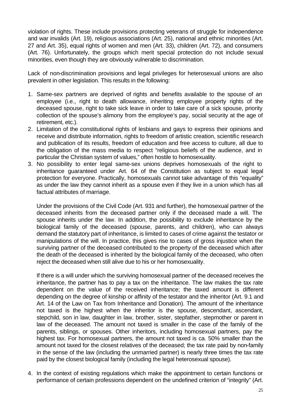violation of rights. These include provisions protecting veterans of struggle for independence and war invalids (Art. 19), religious associations (Art. 25), national and ethnic minorities (Art. 27 and Art. 35), equal rights of women and men (Art. 33), children (Art. 72), and consumers (Art. 76). Unfortunately, the groups which merit special protection do not include sexual minorities, even though they are obviously vulnerable to discrimination.

Lack of non-discrimination provisions and legal privileges for heterosexual unions are also prevalent in other legislation. This results in the following:

- 1. Same-sex partners are deprived of rights and benefits available to the spouse of an employee (i.e., right to death allowance, inheriting employee property rights of the deceased spouse, right to take sick leave in order to take care of a sick spouse, priority collection of the spouse's alimony from the employee's pay, social security at the age of retirement, etc.).
- 2. Limitation of the constitutional rights of lesbians and gays to express their opinions and receive and distribute information, rights to freedom of artistic creation, scientific research and publication of its results, freedom of education and free access to culture, all due to the obligation of the mass media to respect "religious beliefs of the audience, and in particular the Christian system of values," often hostile to homosexuality.
- 3. No possibility to enter legal same-sex unions deprives homosexuals of the right to inheritance guaranteed under Art. 64 of the Constitution as subject to equal legal protection for everyone. Practically, homosexuals cannot take advantage of this "equality" as under the law they cannot inherit as a spouse even if they live in a union which has all factual attributes of marriage.

Under the provisions of the Civil Code (Art. 931 and further), the homosexual partner of the deceased inherits from the deceased partner only if the deceased made a will. The spouse inherits under the law. In addition, the possibility to exclude inheritance by the biological family of the deceased (spouse, parents, and children), who can always demand the statutory part of inheritance, is limited to cases of crime against the testator or manipulations of the will. In practice, this gives rise to cases of gross injustice when the surviving partner of the deceased contributed to the property of the deceased which after the death of the deceased is inherited by the biological family of the deceased, who often reject the deceased when still alive due to his or her homosexuality.

If there is a will under which the surviving homosexual partner of the deceased receives the inheritance, the partner has to pay a tax on the inheritance. The law makes the tax rate dependent on the value of the received inheritance; the taxed amount is different depending on the degree of kinship or affinity of the testator and the inheritor (Art. 9.1 and Art. 14 of the Law on Tax from Inheritance and Donation). The amount of the inheritance not taxed is the highest when the inheritor is the spouse, descendant, ascendant, stepchild, son in law, daughter in law, brother, sister, stepfather, stepmother or parent in law of the deceased. The amount not taxed is smaller in the case of the family of the parents, siblings, or spouses. Other inheritors, including homosexual partners, pay the highest tax. For homosexual partners, the amount not taxed is ca. 50% smaller than the amount not taxed for the closest relatives of the deceased; the tax rate paid by non-family in the sense of the law (including the unmarried partner) is nearly three times the tax rate paid by the closest biological family (including the legal heterosexual spouse).

4. In the context of existing regulations which make the appointment to certain functions or performance of certain professions dependent on the undefined criterion of "integrity" (Art.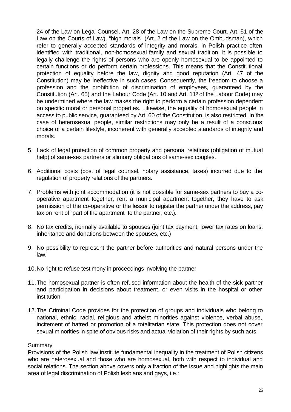24 of the Law on Legal Counsel, Art. 28 of the Law on the Supreme Court, Art. 51 of the Law on the Courts of Law), "high morals" (Art. 2 of the Law on the Ombudsman), which refer to generally accepted standards of integrity and morals, in Polish practice often identified with traditional, non-homosexual family and sexual tradition, it is possible to legally challenge the rights of persons who are openly homosexual to be appointed to certain functions or do perform certain professions. This means that the Constitutional protection of equality before the law, dignity and good reputation (Art. 47 of the Constitution) may be ineffective in such cases. Consequently, the freedom to choose a profession and the prohibition of discrimination of employees, guaranteed by the Constitution (Art. 65) and the Labour Code (Art. 10 and Art. 11<sup>3</sup> of the Labour Code) may be undermined where the law makes the right to perform a certain profession dependent on specific moral or personal properties. Likewise, the equality of homosexual people in access to public service, guaranteed by Art. 60 of the Constitution, is also restricted. In the case of heterosexual people, similar restrictions may only be a result of a conscious choice of a certain lifestyle, incoherent with generally accepted standards of integrity and morals.

- 5. Lack of legal protection of common property and personal relations (obligation of mutual help) of same-sex partners or alimony obligations of same-sex couples.
- 6. Additional costs (cost of legal counsel, notary assistance, taxes) incurred due to the regulation of property relations of the partners.
- 7. Problems with joint accommodation (it is not possible for same-sex partners to buy a cooperative apartment together, rent a municipal apartment together, they have to ask permission of the co-operative or the lessor to register the partner under the address, pay tax on rent of "part of the apartment" to the partner, etc.).
- 8. No tax credits, normally available to spouses (joint tax payment, lower tax rates on loans, inheritance and donations between the spouses, etc.)
- 9. No possibility to represent the partner before authorities and natural persons under the law.
- 10.No right to refuse testimony in proceedings involving the partner
- 11.The homosexual partner is often refused information about the health of the sick partner and participation in decisions about treatment, or even visits in the hospital or other institution.
- 12.The Criminal Code provides for the protection of groups and individuals who belong to national, ethnic, racial, religious and atheist minorities against violence, verbal abuse, incitement of hatred or promotion of a totalitarian state. This protection does not cover sexual minorities in spite of obvious risks and actual violation of their rights by such acts.

#### **Summary**

Provisions of the Polish law institute fundamental inequality in the treatment of Polish citizens who are heterosexual and those who are homosexual, both with respect to individual and social relations. The section above covers only a fraction of the issue and highlights the main area of legal discrimination of Polish lesbians and gays, i.e.: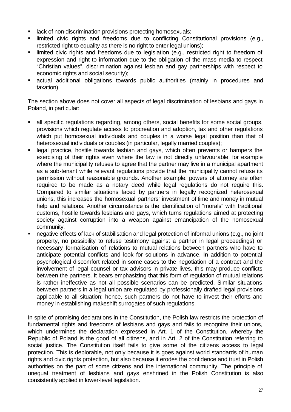- **EXECT** lack of non-discrimination provisions protecting homosexuals;
- Imited civic rights and freedoms due to conflicting Constitutional provisions (e.g., restricted right to equality as there is no right to enter legal unions);
- **EXEDENT** limited civic rights and freedoms due to legislation (e.g., restricted right to freedom of expression and right to information due to the obligation of the mass media to respect "Christian values", discrimination against lesbian and gay partnerships with respect to economic rights and social security);
- ß actual additional obligations towards public authorities (mainly in procedures and taxation).

The section above does not cover all aspects of legal discrimination of lesbians and gays in Poland, in particular:

- ß all specific regulations regarding, among others, social benefits for some social groups, provisions which regulate access to procreation and adoption, tax and other regulations which put homosexual individuals and couples in a worse legal position than that of heterosexual individuals or couples (in particular, legally married couples);
- legal practice, hostile towards lesbian and gays, which often prevents or hampers the exercising of their rights even where the law is not directly unfavourable, for example where the municipality refuses to agree that the partner may live in a municipal apartment as a sub-tenant while relevant regulations provide that the municipality cannot refuse its permission without reasonable grounds. Another example: powers of attorney are often required to be made as a notary deed while legal regulations do not require this. Compared to similar situations faced by partners in legally recognized heterosexual unions, this increases the homosexual partners' investment of time and money in mutual help and relations. Another circumstance is the identification of "morals" with traditional customs, hostile towards lesbians and gays, which turns regulations aimed at protecting society against corruption into a weapon against emancipation of the homosexual community.
- ß negative effects of lack of stabilisation and legal protection of informal unions (e.g., no joint property, no possibility to refuse testimony against a partner in legal proceedings) or necessary formalisation of relations to mutual relations between partners who have to anticipate potential conflicts and look for solutions in advance. In addition to potential psychological discomfort related in some cases to the negotiation of a contract and the involvement of legal counsel or tax advisors in private lives, this may produce conflicts between the partners. It bears emphasizing that this form of regulation of mutual relations is rather ineffective as not all possible scenarios can be predicted. Similar situations between partners in a legal union are regulated by professionally drafted legal provisions applicable to all situation; hence, such partners do not have to invest their efforts and money in establishing makeshift surrogates of such regulations.

In spite of promising declarations in the Constitution, the Polish law restricts the protection of fundamental rights and freedoms of lesbians and gays and fails to recognize their unions, which undermines the declaration expressed in Art. 1 of the Constitution, whereby the Republic of Poland is the good of all citizens, and in Art. 2 of the Constitution referring to social justice. The Constitution itself fails to give some of the citizens access to legal protection. This is deplorable, not only because it is goes against world standards of human rights and civic rights protection, but also because it erodes the confidence and trust in Polish authorities on the part of some citizens and the international community. The principle of unequal treatment of lesbians and gays enshrined in the Polish Constitution is also consistently applied in lower-level legislation.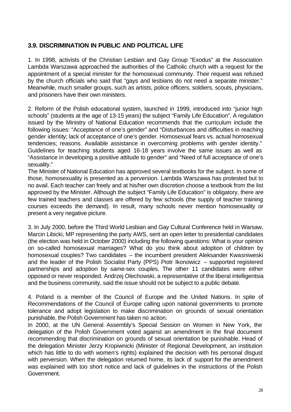# **3.9. DISCRIMINATION IN PUBLIC AND POLITICAL LIFE**

1. In 1998, activists of the Christian Lesbian and Gay Group "Exodus" at the Association Lambda Warszawa approached the authorities of the Catholic church with a request for the appointment of a special minister for the homosexual community. Their request was refused by the church officials who said that "gays and lesbians do not need a separate minister." Meanwhile, much smaller groups, such as artists, police officers, soldiers, scouts, physicians, and prisoners have their own ministers.

2. Reform of the Polish educational system, launched in 1999, introduced into "junior high schools" (students at the age of 13-15 years) the subject "Family Life Education". A regulation issued by the Ministry of National Education recommends that the curriculum include the following issues: "Acceptance of one's gender" and "Disturbances and difficulties in reaching gender identity; lack of acceptance of one's gender. Homosexual fears vs. actual homosexual tendencies; reasons. Available assistance in overcoming problems with gender identity." Guidelines for teaching students aged 16-18 years involve the same issues as well as "Assistance in developing a positive attitude to gender" and "Need of full acceptance of one's sexuality."

The Minister of National Education has approved several textbooks for the subject. In some of those, homosexuality is presented as a perversion. Lambda Warszawa has protested but to no avail. Each teacher can freely and at his/her own discretion choose a textbook from the list approved by the Minister. Although the subject "Family Life Education" is obligatory, there are few trained teachers and classes are offered by few schools (the supply of teacher training courses exceeds the demand). In result, many schools never mention homosexuality or present a very negative picture.

3. In July 2000, before the Third World Lesbian and Gay Cultural Conference held in Warsaw, Marcin Libicki, MP representing the party AWS, sent an open letter to presidential candidates (the election was held in October 2000) including the following questions: What is your opinion on so-called homosexual marriages? What do you think about adoption of children by homosexual couples? Two candidates – the incumbent president Aleksander Kwasniweski and the leader of the Polish Socialist Party (PPS) Piotr Ikonowicz – supported registered partnerships and adoption by same-sex couples. The other 11 candidates were either opposed or never responded. Andrzej Olechowski, a representative of the liberal intelligentsia and the business community, said the issue should not be subject to a public debate.

4. Poland is a member of the Council of Europe and the United Nations. In spite of Recommendations of the Council of Europe calling upon national governments to promote tolerance and adopt legislation to make discrimination on grounds of sexual orientation punishable, the Polish Government has taken no action.

In 2000, at the UN General Assembly's Special Session on Women in New York, the delegation of the Polish Government voted against an amendment in the final document recommending that discrimination on grounds of sexual orientation be punishable. Head of the delegation Minister Jerzy Kropiwnicki (Minister of Regional Development, an institution which has little to do with women's rights) explained the decision with his personal disgust with perversion. When the delegation returned home, its lack of support for the amendment was explained with too short notice and lack of guidelines in the instructions of the Polish Government.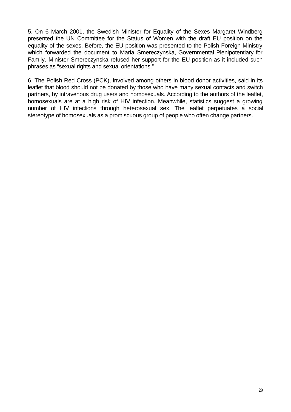5. On 6 March 2001, the Swedish Minister for Equality of the Sexes Margaret Windberg presented the UN Committee for the Status of Women with the draft EU position on the equality of the sexes. Before, the EU position was presented to the Polish Foreign Ministry which forwarded the document to Maria Smereczynska, Governmental Plenipotentiary for Family. Minister Smereczynska refused her support for the EU position as it included such phrases as "sexual rights and sexual orientations."

6. The Polish Red Cross (PCK), involved among others in blood donor activities, said in its leaflet that blood should not be donated by those who have many sexual contacts and switch partners, by intravenous drug users and homosexuals. According to the authors of the leaflet, homosexuals are at a high risk of HIV infection. Meanwhile, statistics suggest a growing number of HIV infections through heterosexual sex. The leaflet perpetuates a social stereotype of homosexuals as a promiscuous group of people who often change partners.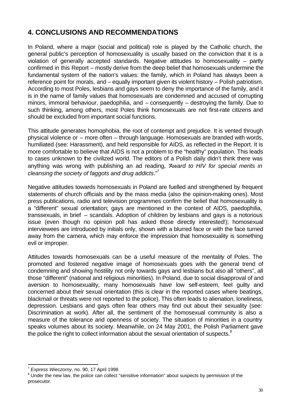# **4. CONCLUSIONS AND RECOMMENDATIONS**

In Poland, where a major (social and political) role is played by the Catholic church, the general public's perception of homosexuality is usually based on the conviction that it is a violation of generally accepted standards. Negative attitudes to homosexuality – partly confirmed in this Report – mostly derive from the deep belief that homosexuals undermine the fundamental system of the nation's values: the family, which in Poland has always been a reference point for morals, and – equally important given its violent history – Polish patriotism. According to most Poles, lesbians and gays seem to deny the importance of the family, and it is in the name of family values that homosexuals are condemned and accused of corrupting minors, immoral behaviour, paedophilia, and – consequently – destroying the family. Due to such thinking, among others, most Poles think homosexuals are not first-rate citizens and should be excluded from important social functions.

This attitude generates homophobia, the root of contempt and prejudice. It is vented through physical violence or – more often – through language. Homosexuals are branded with words, humiliated (see: Harassment), and held responsible for AIDS, as reflected in the Report. It is more comfortable to believe that AIDS is not a problem to the "healthy" population. This leads to cases unknown to the civilized world. The editors of a Polish daily didn't think there was anything was wrong with publishing an ad reading, "*Award to HIV for special merits in cleansing the society of faggots and drug addicts*."<sup>7</sup>

Negative attitudes towards homosexuals in Poland are fuelled and strengthened by frequent statements of church officials and by the mass media (also the opinion-making ones). Most press publications, radio and television programmes confirm the belief that homosexuality is a "different" sexual orientation; gays are mentioned in the context of AIDS, paedophilia, transsexuals, in brief – scandals. Adoption of children by lesbians and gays is a notorious issue (even though no opinion poll has asked those directly interested!); homosexual interviewees are introduced by initials only, shown with a blurred face or with the face turned away from the camera, which may enforce the impression that homosexuality is something evil or improper.

Attitudes towards homosexuals can be a useful measure of the mentality of Poles. The promoted and fostered negative image of homosexuals goes with the general trend of condemning and showing hostility not only towards gays and lesbians but also all "others", all those "different" (national and religious minorities). In Poland, due to social disapproval of and aversion to homosexuality, many homosexuals have low self-esteem, feel guilty and concerned about their sexual orientation (this is clear in the reported cases where beatings, blackmail or threats were not reported to the police). This often leads to alienation, loneliness, depression. Lesbians and gays often fear others may find out about their sexuality (see: Discrimination at work). After all, the sentiment of the homosexual community is also a measure of the tolerance and openness of society. The situation of minorities in a country speaks volumes about its society. Meanwhile, on 24 May 2001, the Polish Parliament gave the police the right to collect information about the sexual orientation of suspects.<sup>8</sup>

l

<sup>7</sup> *Express Wieczorny*, no. 90, 17 April 1998

<sup>&</sup>lt;sup>8</sup> Under the new law, the police can collect "sensitive information" about suspects by permission of the prosecutor.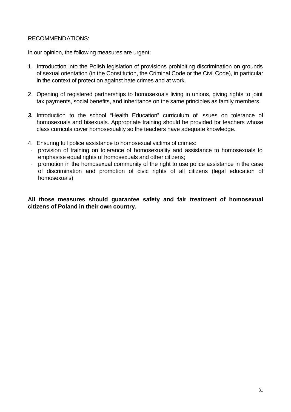# RECOMMENDATIONS:

In our opinion, the following measures are urgent:

- 1. Introduction into the Polish legislation of provisions prohibiting discrimination on grounds of sexual orientation (in the Constitution, the Criminal Code or the Civil Code), in particular in the context of protection against hate crimes and at work.
- 2. Opening of registered partnerships to homosexuals living in unions, giving rights to joint tax payments, social benefits, and inheritance on the same principles as family members.
- *3.* Introduction to the school "Health Education" curriculum of issues on tolerance of homosexuals and bisexuals. Appropriate training should be provided for teachers whose class curricula cover homosexuality so the teachers have adequate knowledge.
- 4. Ensuring full police assistance to homosexual victims of crimes:
- · provision of training on tolerance of homosexuality and assistance to homosexuals to emphasise equal rights of homosexuals and other citizens;
- · promotion in the homosexual community of the right to use police assistance in the case of discrimination and promotion of civic rights of all citizens (legal education of homosexuals).

**All those measures should guarantee safety and fair treatment of homosexual citizens of Poland in their own country.**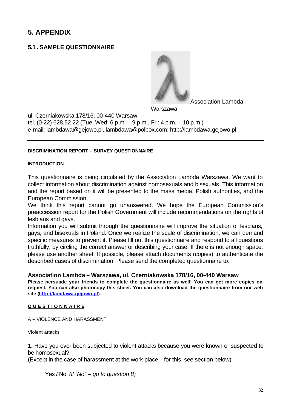# **5. APPENDIX**

# **5.1 . SAMPLE QUESTIONNAIRE**



Association Lambda

Warszawa

ul. Czerniakowska 178/16, 00-440 Warsaw tel. (0-22) 628.52.22 (Tue, Wed: 6 p.m. – 9 p.m., Fri: 4 p.m. – 10 p.m.) e-mail: lambdawa@gejowo.pl, lambdawa@polbox.com; http://lambdawa.gejowo.pl

#### **DISCRIMINATION REPORT – SURVEY QUESTIONNAIRE**

#### **INTRODUCTION**

This questionnaire is being circulated by the Association Lambda Warszawa. We want to collect information about discrimination against homosexuals and bisexuals. This information and the report based on it will be presented to the mass media, Polish authorities, and the European Commission,

We think this report cannot go unanswered. We hope the European Commission's preaccession report for the Polish Government will include recommendations on the rights of lesbians and gays.

Information you will submit through the questionnaire will improve the situation of lesbians, gays, and bisexuals in Poland. Once we realize the scale of discrimination, we can demand specific measures to prevent it. Please fill out this questionnaire and respond to all questions truthfully, by circling the correct answer or describing your case. If there is not enough space, please use another sheet. If possible, please attach documents (copies) to authenticate the described cases of discrimination. Please send the completed questionnaire to:

#### **Association Lambda – Warszawa, ul. Czerniakowska 178/16, 00-440 Warsaw**

**Please persuade your friends to complete the questionnaire as well! You can get more copies on request. You can also photocopy this sheet. You can also download the questionnaire from our web site (http://lamdawa.gejowo.pl).**

#### **Q U E S T I O N N A I R E**

A – VIOLENCE AND HARASSMENT

Violent attacks

1. Have you ever been subjected to violent attacks because you were known or suspected to be homosexual?

(Except in the case of harassment at the work place – for this, see section below)

Yes / No *(if "No" – go to question 8)*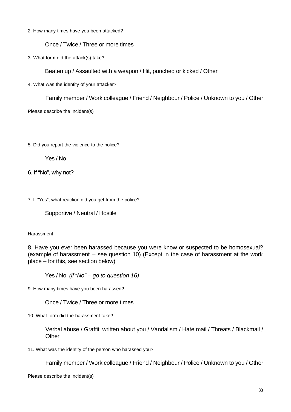2. How many times have you been attacked?

Once / Twice / Three or more times

3. What form did the attack(s) take?

Beaten up / Assaulted with a weapon / Hit, punched or kicked / Other

4. What was the identity of your attacker?

Family member / Work colleague / Friend / Neighbour / Police / Unknown to you / Other

Please describe the incident(s)

5. Did you report the violence to the police?

Yes / No

6. If "No", why not?

7. If "Yes", what reaction did you get from the police?

Supportive / Neutral / Hostile

#### Harassment

8. Have you ever been harassed because you were know or suspected to be homosexual? (example of harassment – see question 10) (Except in the case of harassment at the work place – for this, see section below)

Yes / No *(if "No" – go to question 16)*

9. How many times have you been harassed?

Once / Twice / Three or more times

10. What form did the harassment take?

Verbal abuse / Graffiti written about you / Vandalism / Hate mail / Threats / Blackmail / **Other** 

11. What was the identity of the person who harassed you?

Family member / Work colleague / Friend / Neighbour / Police / Unknown to you / Other

Please describe the incident(s)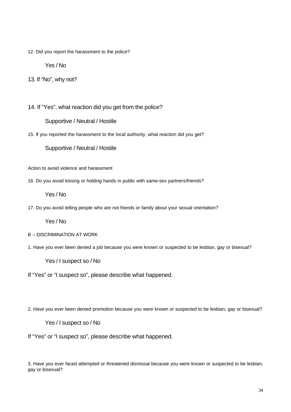12. Did you report the harassment to the police?

Yes / No

13. If "No", why not?

14. If "Yes", what reaction did you get from the police?

Supportive / Neutral / Hostile

15. If you reported the harassment to the local authority, what reaction did you get?

Supportive / Neutral / Hostile

Action to avoid violence and harassment

16. Do you avoid kissing or holding hands in public with same-sex partners/friends?

Yes / No

17. Do you avoid telling people who are not friends or family about your sexual orientation?

Yes / No

- B DISCRIMINATION AT WORK
- 1. Have you ever been denied a job because you were known or suspected to be lesbian, gay or bisexual?

Yes / I suspect so / No

If "Yes" or "I suspect so", please describe what happened.

2. Have you ever been denied promotion because you were known or suspected to be lesbian, gay or bisexual?

Yes / I suspect so / No

If "Yes" or "I suspect so", please describe what happened.

3. Have you ever faced attempted or threatened dismissal because you were known or suspected to be lesbian, gay or bisexual?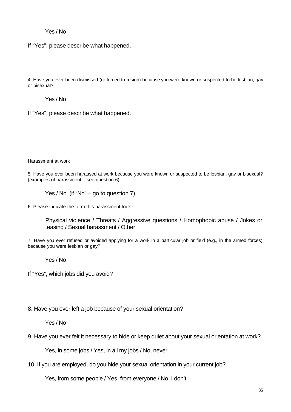# Yes / No

If "Yes", please describe what happened.

4. Have you ever been dismissed (or forced to resign) because you were known or suspected to be lesbian, gay or bisexual?

Yes / No

If "Yes", please describe what happened.

Harassment at work

5. Have you ever been harassed at work because you were known or suspected to be lesbian, gay or bisexual? (examples of harassment – see question 6)

Yes / No (if "No" – go to question 7)

6. Please indicate the form this harassment took:

Physical violence / Threats / Aggressive questions / Homophobic abuse / Jokes or teasing / Sexual harassment / Other

7. Have you ever refused or avoided applying for a work in a particular job or field (e.g., in the armed forces) because you were lesbian or gay?

Yes / No

If "Yes", which jobs did you avoid?

8. Have you ever left a job because of your sexual orientation?

Yes / No

9. Have you ever felt it necessary to hide or keep quiet about your sexual orientation at work?

Yes, in some jobs / Yes, in all my jobs / No, never

10. If you are employed, do you hide your sexual orientation in your current job?

Yes, from some people / Yes, from everyone / No, I don't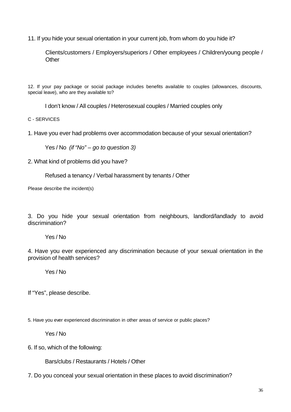11. If you hide your sexual orientation in your current job, from whom do you hide it?

Clients/customers / Employers/superiors / Other employees / Children/young people / **Other** 

12. If your pay package or social package includes benefits available to couples (allowances, discounts, special leave), who are they available to?

I don't know / All couples / Heterosexual couples / Married couples only

C - SERVICES

1. Have you ever had problems over accommodation because of your sexual orientation?

Yes / No *(if "No" – go to question 3)*

2. What kind of problems did you have?

Refused a tenancy / Verbal harassment by tenants / Other

Please describe the incident(s)

3. Do you hide your sexual orientation from neighbours, landlord/landlady to avoid discrimination?

Yes / No

4. Have you ever experienced any discrimination because of your sexual orientation in the provision of health services?

Yes / No

If "Yes", please describe.

5. Have you ever experienced discrimination in other areas of service or public places?

Yes / No

6. If so, which of the following:

Bars/clubs / Restaurants / Hotels / Other

7. Do you conceal your sexual orientation in these places to avoid discrimination?